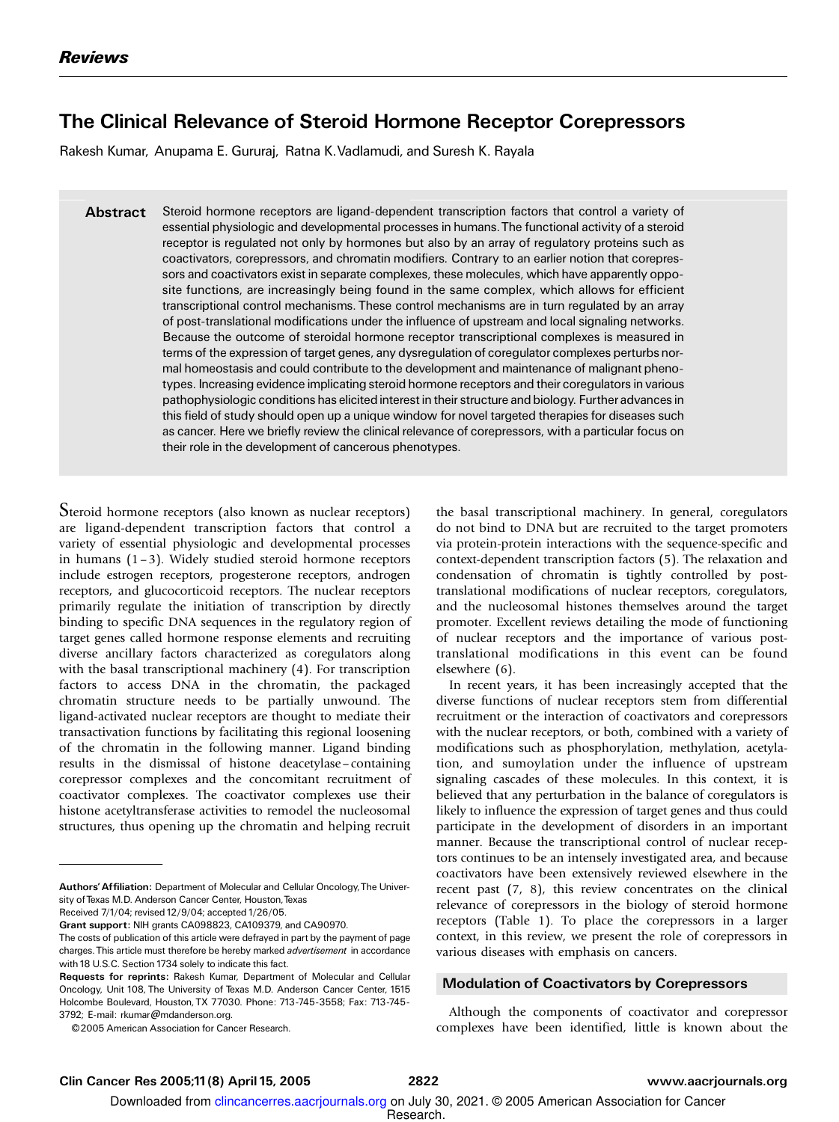## The Clinical Relevance of Steroid Hormone Receptor Corepressors

Rakesh Kumar, Anupama E. Gururaj, Ratna K.Vadlamudi, and Suresh K. Rayala

Abstract Steroid hormone receptors are ligand-dependent transcription factors that control a variety of essential physiologic and developmental processes in humans.The functional activity of a steroid receptor is regulated not only by hormones but also by an array of regulatory proteins such as coactivators, corepressors, and chromatin modifiers. Contrary to an earlier notion that corepressors and coactivators exist in separate complexes, these molecules, which have apparently opposite functions, are increasingly being found in the same complex, which allows for efficient transcriptional control mechanisms. These control mechanisms are in turn regulated by an array of post-translational modifications under the influence of upstream and local signaling networks. Because the outcome of steroidal hormone receptor transcriptional complexes is measured in terms of the expression of target genes, any dysregulation of coregulator complexes perturbs normal homeostasis and could contribute to the development and maintenance of malignant phenotypes. Increasing evidence implicating steroid hormone receptors and their coregulators in various pathophysiologic conditions has elicitedinterest in their structure and biology. Further advances in this field of study should open up a unique window for novel targeted therapies for diseases such as cancer. Here we briefly review the clinical relevance of corepressors, with a particular focus on their role in the development of cancerous phenotypes.

Steroid hormone receptors (also known as nuclear receptors) are ligand-dependent transcription factors that control a variety of essential physiologic and developmental processes in humans  $(1-3)$ . Widely studied steroid hormone receptors include estrogen receptors, progesterone receptors, androgen receptors, and glucocorticoid receptors. The nuclear receptors primarily regulate the initiation of transcription by directly binding to specific DNA sequences in the regulatory region of target genes called hormone response elements and recruiting diverse ancillary factors characterized as coregulators along with the basal transcriptional machinery (4). For transcription factors to access DNA in the chromatin, the packaged chromatin structure needs to be partially unwound. The ligand-activated nuclear receptors are thought to mediate their transactivation functions by facilitating this regional loosening of the chromatin in the following manner. Ligand binding results in the dismissal of histone deacetylase – containing corepressor complexes and the concomitant recruitment of coactivator complexes. The coactivator complexes use their histone acetyltransferase activities to remodel the nucleosomal structures, thus opening up the chromatin and helping recruit

Received 7/1/04; revised 12/9/04; accepted 1/26/05.

Grant support: NIH grants CA098823, CA109379, and CA90970.

© 2005 American Association for Cancer Research.

the basal transcriptional machinery. In general, coregulators do not bind to DNA but are recruited to the target promoters via protein-protein interactions with the sequence-specific and context-dependent transcription factors (5). The relaxation and condensation of chromatin is tightly controlled by posttranslational modifications of nuclear receptors, coregulators, and the nucleosomal histones themselves around the target promoter. Excellent reviews detailing the mode of functioning of nuclear receptors and the importance of various posttranslational modifications in this event can be found elsewhere (6).

In recent years, it has been increasingly accepted that the diverse functions of nuclear receptors stem from differential recruitment or the interaction of coactivators and corepressors with the nuclear receptors, or both, combined with a variety of modifications such as phosphorylation, methylation, acetylation, and sumoylation under the influence of upstream signaling cascades of these molecules. In this context, it is believed that any perturbation in the balance of coregulators is likely to influence the expression of target genes and thus could participate in the development of disorders in an important manner. Because the transcriptional control of nuclear receptors continues to be an intensely investigated area, and because coactivators have been extensively reviewed elsewhere in the recent past (7, 8), this review concentrates on the clinical relevance of corepressors in the biology of steroid hormone receptors (Table 1). To place the corepressors in a larger context, in this review, we present the role of corepressors in various diseases with emphasis on cancers.

#### Modulation of Coactivators by Corepressors

Although the components of coactivator and corepressor complexes have been identified, little is known about the

Authors'Affiliation: Department of Molecular and Cellular Oncology,The University ofTexas M.D. Anderson Cancer Center, Houston,Texas

The costs of publication of this article were defrayed in part by the payment of page charges. This article must therefore be hereby marked advertisement in accordance with 18 U.S.C. Section 1734 solely to indicate this fact.

Requests for reprints: Rakesh Kumar, Department of Molecular and Cellular Oncology, Unit 108, The University of Texas M.D. Anderson Cancer Center, 1515 Holcombe Boulevard, Houston, TX 77030. Phone: 713-745-3558; Fax: 713-745- 3792; E-mail: rkumar@mdanderson.org.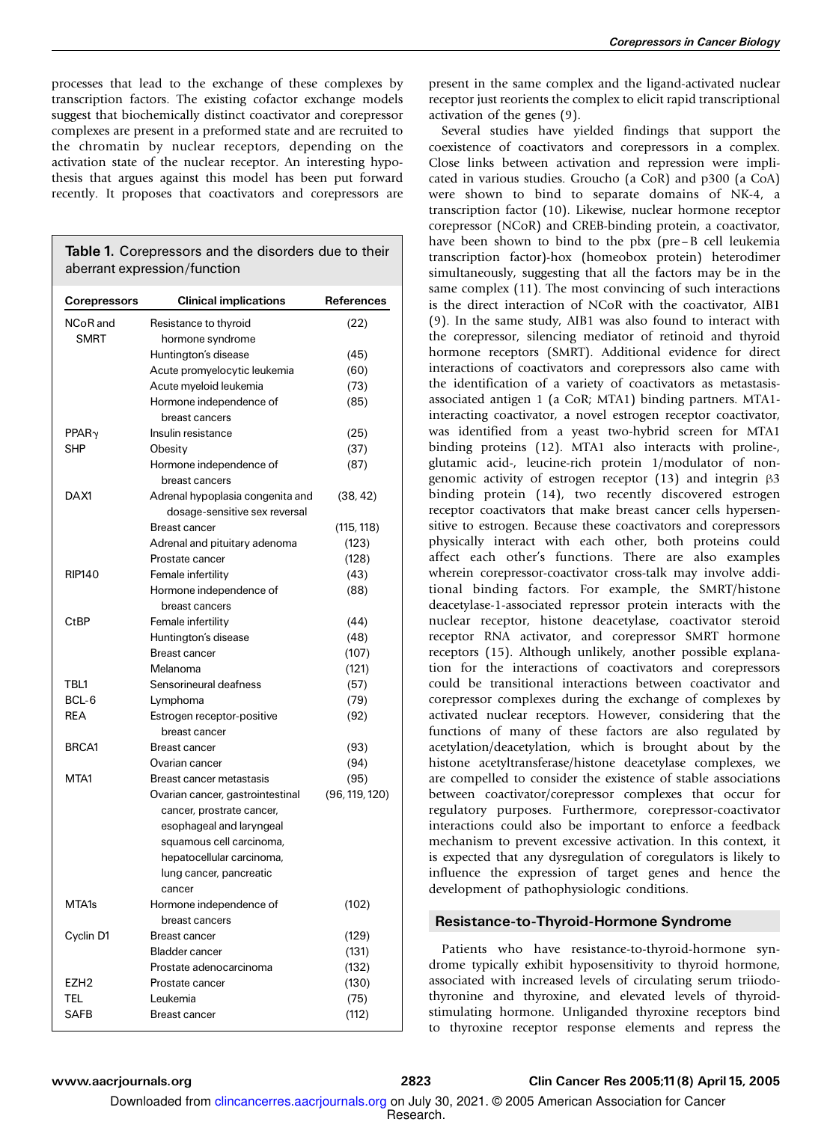processes that lead to the exchange of these complexes by transcription factors. The existing cofactor exchange models suggest that biochemically distinct coactivator and corepressor complexes are present in a preformed state and are recruited to the chromatin by nuclear receptors, depending on the activation state of the nuclear receptor. An interesting hypothesis that argues against this model has been put forward recently. It proposes that coactivators and corepressors are

| <b>Table 1.</b> Corepressors and the disorders due to their |  |
|-------------------------------------------------------------|--|
| aberrant expression/function                                |  |

| Corepressors      | <b>Clinical implications</b>                | References             |
|-------------------|---------------------------------------------|------------------------|
| NCoR and          | Resistance to thyroid                       | (22)                   |
| <b>SMRT</b>       | hormone syndrome                            |                        |
|                   | Huntington's disease                        | (45)                   |
|                   | Acute promyelocytic leukemia                | (60)                   |
|                   | Acute myeloid leukemia                      | (73)                   |
|                   | Hormone independence of                     | (85)                   |
|                   | breast cancers                              |                        |
| PPAR <sub>Y</sub> | Insulin resistance                          | (25)                   |
| <b>SHP</b>        | Obesity                                     | (37)                   |
|                   | Hormone independence of                     | (87)                   |
|                   | breast cancers                              |                        |
| DAX <sub>1</sub>  | Adrenal hypoplasia congenita and            | (38, 42)               |
|                   | dosage-sensitive sex reversal               |                        |
|                   | <b>Breast cancer</b>                        | (115, 118)             |
|                   | Adrenal and pituitary adenoma               | (123)                  |
|                   | Prostate cancer                             | (128)                  |
| <b>RIP140</b>     | Female infertility                          | (43)                   |
|                   | Hormone independence of                     | (88)                   |
|                   | breast cancers                              |                        |
| CtBP              | Female infertility                          | (44)                   |
|                   | Huntington's disease                        | (48)                   |
|                   | <b>Breast cancer</b>                        | (107)                  |
|                   | Melanoma                                    | (121)                  |
| TBL1              | Sensorineural deafness                      | (57)                   |
| BCL-6             | Lymphoma                                    | (79)                   |
| <b>REA</b>        | Estrogen receptor-positive<br>breast cancer | (92)                   |
| BRCA1             | <b>Breast cancer</b>                        |                        |
|                   | Ovarian cancer                              | (93)<br>(94)           |
| MTA1              | Breast cancer metastasis                    |                        |
|                   | Ovarian cancer, gastrointestinal            | (95)<br>(96, 119, 120) |
|                   | cancer, prostrate cancer,                   |                        |
|                   | esophageal and laryngeal                    |                        |
|                   | squamous cell carcinoma,                    |                        |
|                   | hepatocellular carcinoma,                   |                        |
|                   | lung cancer, pancreatic                     |                        |
|                   | cancer                                      |                        |
| MTA <sub>1s</sub> | Hormone independence of                     | (102)                  |
|                   | breast cancers                              |                        |
| Cyclin D1         | <b>Breast cancer</b>                        | (129)                  |
|                   | <b>Bladder cancer</b>                       | (131)                  |
|                   | Prostate adenocarcinoma                     | (132)                  |
| EZH <sub>2</sub>  | Prostate cancer                             | (130)                  |
| <b>TFI</b>        | Leukemia                                    | (75)                   |
| <b>SAFB</b>       | <b>Breast cancer</b>                        | (112)                  |

present in the same complex and the ligand-activated nuclear receptor just reorients the complex to elicit rapid transcriptional activation of the genes (9).

Several studies have yielded findings that support the coexistence of coactivators and corepressors in a complex. Close links between activation and repression were implicated in various studies. Groucho (a CoR) and p300 (a CoA) were shown to bind to separate domains of NK-4, a transcription factor (10). Likewise, nuclear hormone receptor corepressor (NCoR) and CREB-binding protein, a coactivator, have been shown to bind to the pbx (pre-B cell leukemia transcription factor)-hox (homeobox protein) heterodimer simultaneously, suggesting that all the factors may be in the same complex (11). The most convincing of such interactions is the direct interaction of NCoR with the coactivator, AIB1 (9). In the same study, AIB1 was also found to interact with the corepressor, silencing mediator of retinoid and thyroid hormone receptors (SMRT). Additional evidence for direct interactions of coactivators and corepressors also came with the identification of a variety of coactivators as metastasisassociated antigen 1 (a CoR; MTA1) binding partners. MTA1 interacting coactivator, a novel estrogen receptor coactivator, was identified from a yeast two-hybrid screen for MTA1 binding proteins (12). MTA1 also interacts with proline-, glutamic acid-, leucine-rich protein 1/modulator of nongenomic activity of estrogen receptor  $(13)$  and integrin  $\beta$ 3 binding protein (14), two recently discovered estrogen receptor coactivators that make breast cancer cells hypersensitive to estrogen. Because these coactivators and corepressors physically interact with each other, both proteins could affect each other's functions. There are also examples wherein corepressor-coactivator cross-talk may involve additional binding factors. For example, the SMRT/histone deacetylase-1-associated repressor protein interacts with the nuclear receptor, histone deacetylase, coactivator steroid receptor RNA activator, and corepressor SMRT hormone receptors (15). Although unlikely, another possible explanation for the interactions of coactivators and corepressors could be transitional interactions between coactivator and corepressor complexes during the exchange of complexes by activated nuclear receptors. However, considering that the functions of many of these factors are also regulated by acetylation/deacetylation, which is brought about by the histone acetyltransferase/histone deacetylase complexes, we are compelled to consider the existence of stable associations between coactivator/corepressor complexes that occur for regulatory purposes. Furthermore, corepressor-coactivator interactions could also be important to enforce a feedback mechanism to prevent excessive activation. In this context, it is expected that any dysregulation of coregulators is likely to influence the expression of target genes and hence the development of pathophysiologic conditions.

#### Resistance-to-Thyroid-Hormone Syndrome

Patients who have resistance-to-thyroid-hormone syndrome typically exhibit hyposensitivity to thyroid hormone, associated with increased levels of circulating serum triiodothyronine and thyroxine, and elevated levels of thyroidstimulating hormone. Unliganded thyroxine receptors bind to thyroxine receptor response elements and repress the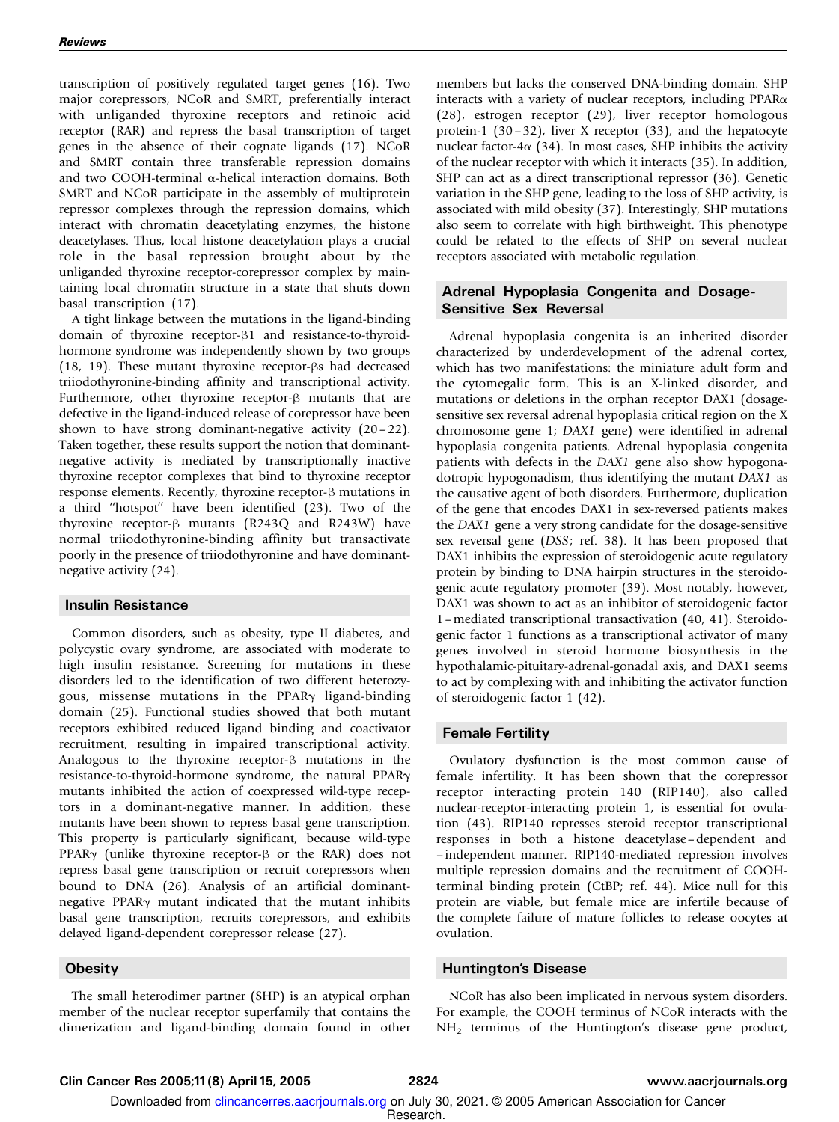transcription of positively regulated target genes (16). Two major corepressors, NCoR and SMRT, preferentially interact with unliganded thyroxine receptors and retinoic acid receptor (RAR) and repress the basal transcription of target genes in the absence of their cognate ligands (17). NCoR and SMRT contain three transferable repression domains and two COOH-terminal  $\alpha$ -helical interaction domains. Both SMRT and NCoR participate in the assembly of multiprotein repressor complexes through the repression domains, which interact with chromatin deacetylating enzymes, the histone deacetylases. Thus, local histone deacetylation plays a crucial role in the basal repression brought about by the unliganded thyroxine receptor-corepressor complex by maintaining local chromatin structure in a state that shuts down basal transcription (17).

A tight linkage between the mutations in the ligand-binding domain of thyroxine receptor- $\beta$ 1 and resistance-to-thyroidhormone syndrome was independently shown by two groups (18, 19). These mutant thyroxine receptor- $\beta$ s had decreased triiodothyronine-binding affinity and transcriptional activity. Furthermore, other thyroxine receptor- $\beta$  mutants that are defective in the ligand-induced release of corepressor have been shown to have strong dominant-negative activity  $(20-22)$ . Taken together, these results support the notion that dominantnegative activity is mediated by transcriptionally inactive thyroxine receptor complexes that bind to thyroxine receptor  $r$ esponse elements. Recently, thyroxine receptor- $\beta$  mutations in a third ''hotspot'' have been identified (23). Two of the thyroxine receptor- $\beta$  mutants (R243Q and R243W) have normal triiodothyronine-binding affinity but transactivate poorly in the presence of triiodothyronine and have dominantnegative activity (24).

#### Insulin Resistance

Common disorders, such as obesity, type II diabetes, and polycystic ovary syndrome, are associated with moderate to high insulin resistance. Screening for mutations in these disorders led to the identification of two different heterozygous, missense mutations in the PPARg ligand-binding domain (25). Functional studies showed that both mutant receptors exhibited reduced ligand binding and coactivator recruitment, resulting in impaired transcriptional activity. Analogous to the thyroxine receptor- $\beta$  mutations in the resistance-to-thyroid-hormone syndrome, the natural PPARg mutants inhibited the action of coexpressed wild-type receptors in a dominant-negative manner. In addition, these mutants have been shown to repress basal gene transcription. This property is particularly significant, because wild-type PPAR $\gamma$  (unlike thyroxine receptor- $\beta$  or the RAR) does not repress basal gene transcription or recruit corepressors when bound to DNA (26). Analysis of an artificial dominantnegative PPAR $\gamma$  mutant indicated that the mutant inhibits basal gene transcription, recruits corepressors, and exhibits delayed ligand-dependent corepressor release (27).

#### **Obesity**

The small heterodimer partner (SHP) is an atypical orphan member of the nuclear receptor superfamily that contains the dimerization and ligand-binding domain found in other members but lacks the conserved DNA-binding domain. SHP interacts with a variety of nuclear receptors, including PPARa (28), estrogen receptor (29), liver receptor homologous protein-1 (30 – 32), liver X receptor (33), and the hepatocyte nuclear factor-4 $\alpha$  (34). In most cases, SHP inhibits the activity of the nuclear receptor with which it interacts (35). In addition, SHP can act as a direct transcriptional repressor (36). Genetic variation in the SHP gene, leading to the loss of SHP activity, is associated with mild obesity (37). Interestingly, SHP mutations also seem to correlate with high birthweight. This phenotype could be related to the effects of SHP on several nuclear receptors associated with metabolic regulation.

#### Adrenal Hypoplasia Congenita and Dosage-Sensitive Sex Reversal

Adrenal hypoplasia congenita is an inherited disorder characterized by underdevelopment of the adrenal cortex, which has two manifestations: the miniature adult form and the cytomegalic form. This is an X-linked disorder, and mutations or deletions in the orphan receptor DAX1 (dosagesensitive sex reversal adrenal hypoplasia critical region on the X chromosome gene 1; DAX1 gene) were identified in adrenal hypoplasia congenita patients. Adrenal hypoplasia congenita patients with defects in the DAX1 gene also show hypogonadotropic hypogonadism, thus identifying the mutant DAX1 as the causative agent of both disorders. Furthermore, duplication of the gene that encodes DAX1 in sex-reversed patients makes the DAX1 gene a very strong candidate for the dosage-sensitive sex reversal gene (DSS; ref. 38). It has been proposed that DAX1 inhibits the expression of steroidogenic acute regulatory protein by binding to DNA hairpin structures in the steroidogenic acute regulatory promoter (39). Most notably, however, DAX1 was shown to act as an inhibitor of steroidogenic factor 1 –mediated transcriptional transactivation (40, 41). Steroidogenic factor 1 functions as a transcriptional activator of many genes involved in steroid hormone biosynthesis in the hypothalamic-pituitary-adrenal-gonadal axis, and DAX1 seems to act by complexing with and inhibiting the activator function of steroidogenic factor 1 (42).

#### Female Fertility

Ovulatory dysfunction is the most common cause of female infertility. It has been shown that the corepressor receptor interacting protein 140 (RIP140), also called nuclear-receptor-interacting protein 1, is essential for ovulation (43). RIP140 represses steroid receptor transcriptional responses in both a histone deacetylase –dependent and –independent manner. RIP140-mediated repression involves multiple repression domains and the recruitment of COOHterminal binding protein (CtBP; ref. 44). Mice null for this protein are viable, but female mice are infertile because of the complete failure of mature follicles to release oocytes at ovulation.

## Huntington's Disease

NCoR has also been implicated in nervous system disorders. For example, the COOH terminus of NCoR interacts with the NH<sup>2</sup> terminus of the Huntington's disease gene product,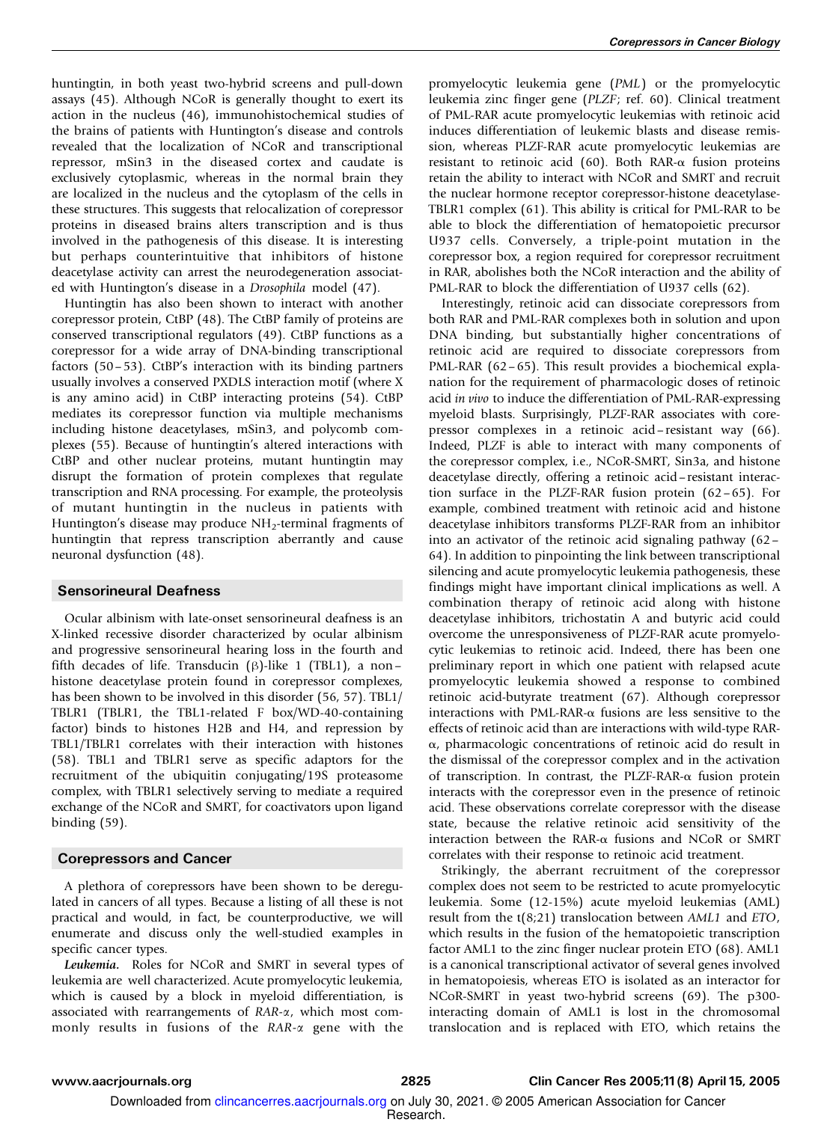huntingtin, in both yeast two-hybrid screens and pull-down assays (45). Although NCoR is generally thought to exert its action in the nucleus (46), immunohistochemical studies of the brains of patients with Huntington's disease and controls revealed that the localization of NCoR and transcriptional repressor, mSin3 in the diseased cortex and caudate is exclusively cytoplasmic, whereas in the normal brain they are localized in the nucleus and the cytoplasm of the cells in these structures. This suggests that relocalization of corepressor proteins in diseased brains alters transcription and is thus involved in the pathogenesis of this disease. It is interesting but perhaps counterintuitive that inhibitors of histone deacetylase activity can arrest the neurodegeneration associated with Huntington's disease in a Drosophila model (47).

Huntingtin has also been shown to interact with another corepressor protein, CtBP (48). The CtBP family of proteins are conserved transcriptional regulators (49). CtBP functions as a corepressor for a wide array of DNA-binding transcriptional factors  $(50-53)$ . CtBP's interaction with its binding partners usually involves a conserved PXDLS interaction motif (where X is any amino acid) in CtBP interacting proteins (54). CtBP mediates its corepressor function via multiple mechanisms including histone deacetylases, mSin3, and polycomb complexes (55). Because of huntingtin's altered interactions with CtBP and other nuclear proteins, mutant huntingtin may disrupt the formation of protein complexes that regulate transcription and RNA processing. For example, the proteolysis of mutant huntingtin in the nucleus in patients with Huntington's disease may produce  $NH<sub>2</sub>$ -terminal fragments of huntingtin that repress transcription aberrantly and cause neuronal dysfunction (48).

#### Sensorineural Deafness

Ocular albinism with late-onset sensorineural deafness is an X-linked recessive disorder characterized by ocular albinism and progressive sensorineural hearing loss in the fourth and fifth decades of life. Transducin  $(\beta)$ -like 1 (TBL1), a nonhistone deacetylase protein found in corepressor complexes, has been shown to be involved in this disorder (56, 57). TBL1/ TBLR1 (TBLR1, the TBL1-related F box/WD-40-containing factor) binds to histones H2B and H4, and repression by TBL1/TBLR1 correlates with their interaction with histones (58). TBL1 and TBLR1 serve as specific adaptors for the recruitment of the ubiquitin conjugating/19S proteasome complex, with TBLR1 selectively serving to mediate a required exchange of the NCoR and SMRT, for coactivators upon ligand binding (59).

#### Corepressors and Cancer

A plethora of corepressors have been shown to be deregulated in cancers of all types. Because a listing of all these is not practical and would, in fact, be counterproductive, we will enumerate and discuss only the well-studied examples in specific cancer types.

Leukemia. Roles for NCoR and SMRT in several types of leukemia are well characterized. Acute promyelocytic leukemia, which is caused by a block in myeloid differentiation, is associated with rearrangements of RAR-a, which most commonly results in fusions of the RAR-a gene with the promyelocytic leukemia gene (PML) or the promyelocytic leukemia zinc finger gene (PLZF; ref. 60). Clinical treatment of PML-RAR acute promyelocytic leukemias with retinoic acid induces differentiation of leukemic blasts and disease remission, whereas PLZF-RAR acute promyelocytic leukemias are resistant to retinoic acid (60). Both RAR- $\alpha$  fusion proteins retain the ability to interact with NCoR and SMRT and recruit the nuclear hormone receptor corepressor-histone deacetylase-TBLR1 complex (61). This ability is critical for PML-RAR to be able to block the differentiation of hematopoietic precursor U937 cells. Conversely, a triple-point mutation in the corepressor box, a region required for corepressor recruitment in RAR, abolishes both the NCoR interaction and the ability of PML-RAR to block the differentiation of U937 cells (62).

Interestingly, retinoic acid can dissociate corepressors from both RAR and PML-RAR complexes both in solution and upon DNA binding, but substantially higher concentrations of retinoic acid are required to dissociate corepressors from PML-RAR (62-65). This result provides a biochemical explanation for the requirement of pharmacologic doses of retinoic acid in vivo to induce the differentiation of PML-RAR-expressing myeloid blasts. Surprisingly, PLZF-RAR associates with corepressor complexes in a retinoic acid – resistant way (66). Indeed, PLZF is able to interact with many components of the corepressor complex, i.e., NCoR-SMRT, Sin3a, and histone deacetylase directly, offering a retinoic acid – resistant interaction surface in the PLZF-RAR fusion protein (62 – 65). For example, combined treatment with retinoic acid and histone deacetylase inhibitors transforms PLZF-RAR from an inhibitor into an activator of the retinoic acid signaling pathway (62– 64). In addition to pinpointing the link between transcriptional silencing and acute promyelocytic leukemia pathogenesis, these findings might have important clinical implications as well. A combination therapy of retinoic acid along with histone deacetylase inhibitors, trichostatin A and butyric acid could overcome the unresponsiveness of PLZF-RAR acute promyelocytic leukemias to retinoic acid. Indeed, there has been one preliminary report in which one patient with relapsed acute promyelocytic leukemia showed a response to combined retinoic acid-butyrate treatment (67). Although corepressor interactions with PML-RAR-a fusions are less sensitive to the effects of retinoic acid than are interactions with wild-type RAR- $\alpha$ , pharmacologic concentrations of retinoic acid do result in the dismissal of the corepressor complex and in the activation of transcription. In contrast, the PLZF-RAR-a fusion protein interacts with the corepressor even in the presence of retinoic acid. These observations correlate corepressor with the disease state, because the relative retinoic acid sensitivity of the interaction between the RAR- $\alpha$  fusions and NCoR or SMRT correlates with their response to retinoic acid treatment.

Strikingly, the aberrant recruitment of the corepressor complex does not seem to be restricted to acute promyelocytic leukemia. Some (12-15%) acute myeloid leukemias (AML) result from the t(8;21) translocation between AML1 and ETO, which results in the fusion of the hematopoietic transcription factor AML1 to the zinc finger nuclear protein ETO (68). AML1 is a canonical transcriptional activator of several genes involved in hematopoiesis, whereas ETO is isolated as an interactor for NCoR-SMRT in yeast two-hybrid screens (69). The p300 interacting domain of AML1 is lost in the chromosomal translocation and is replaced with ETO, which retains the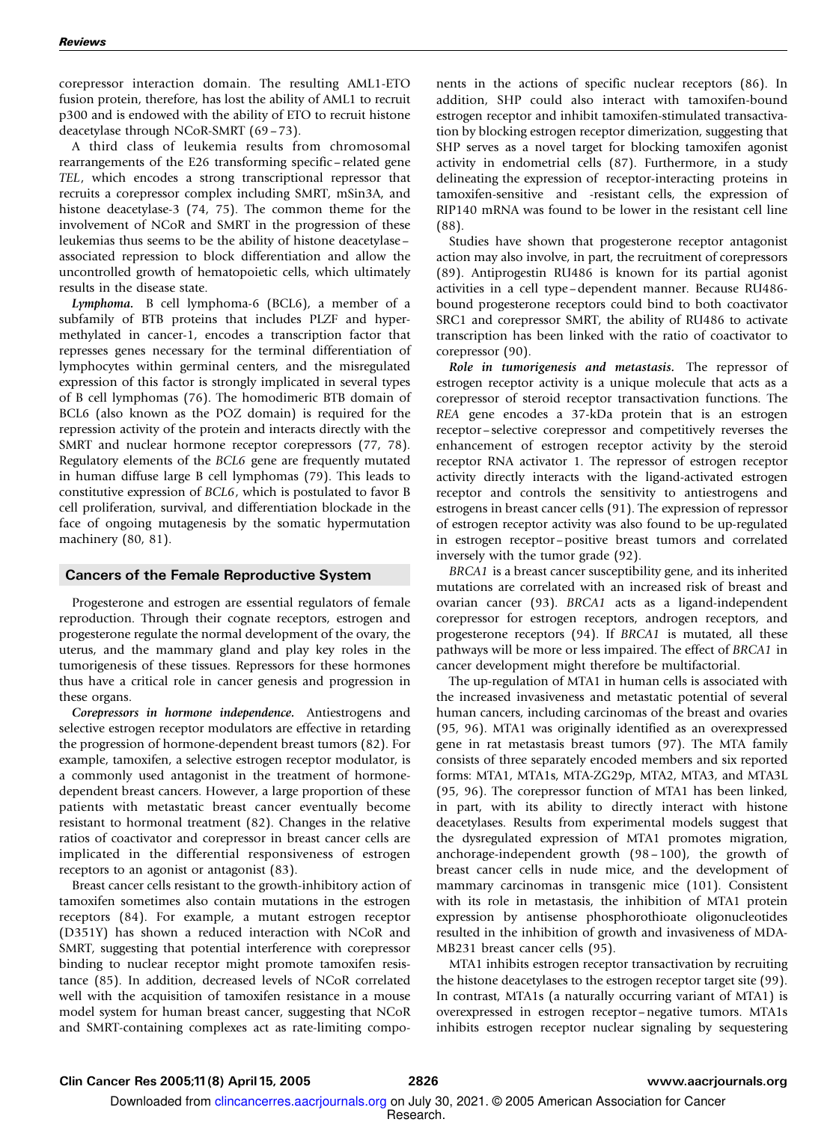corepressor interaction domain. The resulting AML1-ETO fusion protein, therefore, has lost the ability of AML1 to recruit p300 and is endowed with the ability of ETO to recruit histone deacetylase through NCoR-SMRT (69– 73).

A third class of leukemia results from chromosomal rearrangements of the E26 transforming specific – related gene TEL, which encodes a strong transcriptional repressor that recruits a corepressor complex including SMRT, mSin3A, and histone deacetylase-3 (74, 75). The common theme for the involvement of NCoR and SMRT in the progression of these leukemias thus seems to be the ability of histone deacetylase – associated repression to block differentiation and allow the uncontrolled growth of hematopoietic cells, which ultimately results in the disease state.

Lymphoma. B cell lymphoma-6 (BCL6), a member of a subfamily of BTB proteins that includes PLZF and hypermethylated in cancer-1, encodes a transcription factor that represses genes necessary for the terminal differentiation of lymphocytes within germinal centers, and the misregulated expression of this factor is strongly implicated in several types of B cell lymphomas (76). The homodimeric BTB domain of BCL6 (also known as the POZ domain) is required for the repression activity of the protein and interacts directly with the SMRT and nuclear hormone receptor corepressors (77, 78). Regulatory elements of the BCL6 gene are frequently mutated in human diffuse large B cell lymphomas (79). This leads to constitutive expression of BCL6, which is postulated to favor B cell proliferation, survival, and differentiation blockade in the face of ongoing mutagenesis by the somatic hypermutation machinery (80, 81).

#### Cancers of the Female Reproductive System

Progesterone and estrogen are essential regulators of female reproduction. Through their cognate receptors, estrogen and progesterone regulate the normal development of the ovary, the uterus, and the mammary gland and play key roles in the tumorigenesis of these tissues. Repressors for these hormones thus have a critical role in cancer genesis and progression in these organs.

Corepressors in hormone independence. Antiestrogens and selective estrogen receptor modulators are effective in retarding the progression of hormone-dependent breast tumors (82). For example, tamoxifen, a selective estrogen receptor modulator, is a commonly used antagonist in the treatment of hormonedependent breast cancers. However, a large proportion of these patients with metastatic breast cancer eventually become resistant to hormonal treatment (82). Changes in the relative ratios of coactivator and corepressor in breast cancer cells are implicated in the differential responsiveness of estrogen receptors to an agonist or antagonist (83).

Breast cancer cells resistant to the growth-inhibitory action of tamoxifen sometimes also contain mutations in the estrogen receptors (84). For example, a mutant estrogen receptor (D351Y) has shown a reduced interaction with NCoR and SMRT, suggesting that potential interference with corepressor binding to nuclear receptor might promote tamoxifen resistance (85). In addition, decreased levels of NCoR correlated well with the acquisition of tamoxifen resistance in a mouse model system for human breast cancer, suggesting that NCoR and SMRT-containing complexes act as rate-limiting components in the actions of specific nuclear receptors (86). In addition, SHP could also interact with tamoxifen-bound estrogen receptor and inhibit tamoxifen-stimulated transactivation by blocking estrogen receptor dimerization, suggesting that SHP serves as a novel target for blocking tamoxifen agonist activity in endometrial cells (87). Furthermore, in a study delineating the expression of receptor-interacting proteins in tamoxifen-sensitive and -resistant cells, the expression of RIP140 mRNA was found to be lower in the resistant cell line (88).

Studies have shown that progesterone receptor antagonist action may also involve, in part, the recruitment of corepressors (89). Antiprogestin RU486 is known for its partial agonist activities in a cell type –dependent manner. Because RU486 bound progesterone receptors could bind to both coactivator SRC1 and corepressor SMRT, the ability of RU486 to activate transcription has been linked with the ratio of coactivator to corepressor (90).

Role in tumorigenesis and metastasis. The repressor of estrogen receptor activity is a unique molecule that acts as a corepressor of steroid receptor transactivation functions. The REA gene encodes a 37-kDa protein that is an estrogen receptor – selective corepressor and competitively reverses the enhancement of estrogen receptor activity by the steroid receptor RNA activator 1. The repressor of estrogen receptor activity directly interacts with the ligand-activated estrogen receptor and controls the sensitivity to antiestrogens and estrogens in breast cancer cells (91). The expression of repressor of estrogen receptor activity was also found to be up-regulated in estrogen receptor –positive breast tumors and correlated inversely with the tumor grade (92).

BRCA1 is a breast cancer susceptibility gene, and its inherited mutations are correlated with an increased risk of breast and ovarian cancer (93). BRCA1 acts as a ligand-independent corepressor for estrogen receptors, androgen receptors, and progesterone receptors (94). If BRCA1 is mutated, all these pathways will be more or less impaired. The effect of BRCA1 in cancer development might therefore be multifactorial.

The up-regulation of MTA1 in human cells is associated with the increased invasiveness and metastatic potential of several human cancers, including carcinomas of the breast and ovaries (95, 96). MTA1 was originally identified as an overexpressed gene in rat metastasis breast tumors (97). The MTA family consists of three separately encoded members and six reported forms: MTA1, MTA1s, MTA-ZG29p, MTA2, MTA3, and MTA3L (95, 96). The corepressor function of MTA1 has been linked, in part, with its ability to directly interact with histone deacetylases. Results from experimental models suggest that the dysregulated expression of MTA1 promotes migration, anchorage-independent growth (98 – 100), the growth of breast cancer cells in nude mice, and the development of mammary carcinomas in transgenic mice (101). Consistent with its role in metastasis, the inhibition of MTA1 protein expression by antisense phosphorothioate oligonucleotides resulted in the inhibition of growth and invasiveness of MDA-MB231 breast cancer cells (95).

MTA1 inhibits estrogen receptor transactivation by recruiting the histone deacetylases to the estrogen receptor target site (99). In contrast, MTA1s (a naturally occurring variant of MTA1) is overexpressed in estrogen receptor–negative tumors. MTA1s inhibits estrogen receptor nuclear signaling by sequestering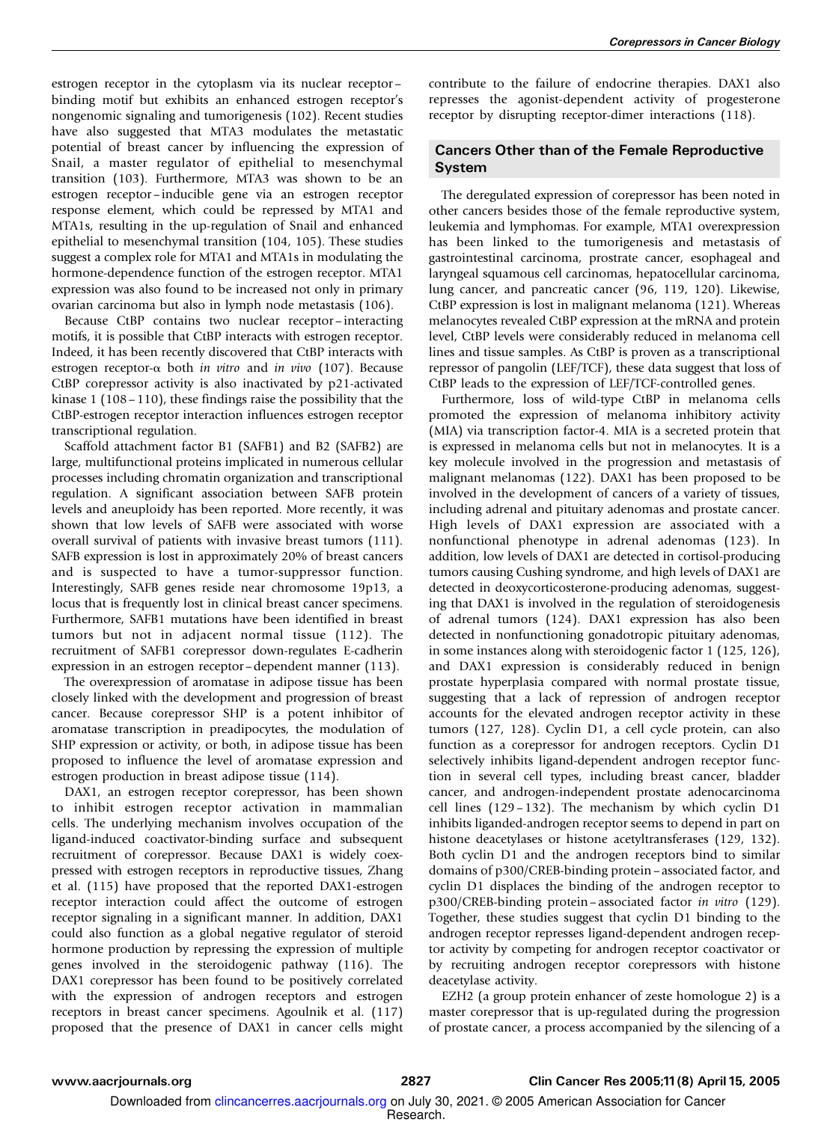estrogen receptor in the cytoplasm via its nuclear receptor – binding motif but exhibits an enhanced estrogen receptor's nongenomic signaling and tumorigenesis (102). Recent studies have also suggested that MTA3 modulates the metastatic potential of breast cancer by influencing the expression of Snail, a master regulator of epithelial to mesenchymal transition (103). Furthermore, MTA3 was shown to be an estrogen receptor –inducible gene via an estrogen receptor response element, which could be repressed by MTA1 and MTA1s, resulting in the up-regulation of Snail and enhanced epithelial to mesenchymal transition (104, 105). These studies suggest a complex role for MTA1 and MTA1s in modulating the hormone-dependence function of the estrogen receptor. MTA1 expression was also found to be increased not only in primary ovarian carcinoma but also in lymph node metastasis (106).

Because CtBP contains two nuclear receptor –interacting motifs, it is possible that CtBP interacts with estrogen receptor. Indeed, it has been recently discovered that CtBP interacts with estrogen receptor- $\alpha$  both in vitro and in vivo (107). Because CtBP corepressor activity is also inactivated by p21-activated kinase 1 (108 – 110), these findings raise the possibility that the CtBP-estrogen receptor interaction influences estrogen receptor transcriptional regulation.

Scaffold attachment factor B1 (SAFB1) and B2 (SAFB2) are large, multifunctional proteins implicated in numerous cellular processes including chromatin organization and transcriptional regulation. A significant association between SAFB protein levels and aneuploidy has been reported. More recently, it was shown that low levels of SAFB were associated with worse overall survival of patients with invasive breast tumors (111). SAFB expression is lost in approximately 20% of breast cancers and is suspected to have a tumor-suppressor function. Interestingly, SAFB genes reside near chromosome 19p13, a locus that is frequently lost in clinical breast cancer specimens. Furthermore, SAFB1 mutations have been identified in breast tumors but not in adjacent normal tissue (112). The recruitment of SAFB1 corepressor down-regulates E-cadherin expression in an estrogen receptor–dependent manner (113).

The overexpression of aromatase in adipose tissue has been closely linked with the development and progression of breast cancer. Because corepressor SHP is a potent inhibitor of aromatase transcription in preadipocytes, the modulation of SHP expression or activity, or both, in adipose tissue has been proposed to influence the level of aromatase expression and estrogen production in breast adipose tissue (114).

DAX1, an estrogen receptor corepressor, has been shown to inhibit estrogen receptor activation in mammalian cells. The underlying mechanism involves occupation of the ligand-induced coactivator-binding surface and subsequent recruitment of corepressor. Because DAX1 is widely coexpressed with estrogen receptors in reproductive tissues, Zhang et al. (115) have proposed that the reported DAX1-estrogen receptor interaction could affect the outcome of estrogen receptor signaling in a significant manner. In addition, DAX1 could also function as a global negative regulator of steroid hormone production by repressing the expression of multiple genes involved in the steroidogenic pathway (116). The DAX1 corepressor has been found to be positively correlated with the expression of androgen receptors and estrogen receptors in breast cancer specimens. Agoulnik et al. (117) proposed that the presence of DAX1 in cancer cells might contribute to the failure of endocrine therapies. DAX1 also represses the agonist-dependent activity of progesterone receptor by disrupting receptor-dimer interactions (118).

## Cancers Other than of the Female Reproductive **System**

The deregulated expression of corepressor has been noted in other cancers besides those of the female reproductive system, leukemia and lymphomas. For example, MTA1 overexpression has been linked to the tumorigenesis and metastasis of gastrointestinal carcinoma, prostrate cancer, esophageal and laryngeal squamous cell carcinomas, hepatocellular carcinoma, lung cancer, and pancreatic cancer (96, 119, 120). Likewise, CtBP expression is lost in malignant melanoma (121). Whereas melanocytes revealed CtBP expression at the mRNA and protein level, CtBP levels were considerably reduced in melanoma cell lines and tissue samples. As CtBP is proven as a transcriptional repressor of pangolin (LEF/TCF), these data suggest that loss of CtBP leads to the expression of LEF/TCF-controlled genes.

Furthermore, loss of wild-type CtBP in melanoma cells promoted the expression of melanoma inhibitory activity (MIA) via transcription factor-4. MIA is a secreted protein that is expressed in melanoma cells but not in melanocytes. It is a key molecule involved in the progression and metastasis of malignant melanomas (122). DAX1 has been proposed to be involved in the development of cancers of a variety of tissues, including adrenal and pituitary adenomas and prostate cancer. High levels of DAX1 expression are associated with a nonfunctional phenotype in adrenal adenomas (123). In addition, low levels of DAX1 are detected in cortisol-producing tumors causing Cushing syndrome, and high levels of DAX1 are detected in deoxycorticosterone-producing adenomas, suggesting that DAX1 is involved in the regulation of steroidogenesis of adrenal tumors (124). DAX1 expression has also been detected in nonfunctioning gonadotropic pituitary adenomas, in some instances along with steroidogenic factor 1 (125, 126), and DAX1 expression is considerably reduced in benign prostate hyperplasia compared with normal prostate tissue, suggesting that a lack of repression of androgen receptor accounts for the elevated androgen receptor activity in these tumors (127, 128). Cyclin D1, a cell cycle protein, can also function as a corepressor for androgen receptors. Cyclin D1 selectively inhibits ligand-dependent androgen receptor function in several cell types, including breast cancer, bladder cancer, and androgen-independent prostate adenocarcinoma cell lines (129 – 132). The mechanism by which cyclin D1 inhibits liganded-androgen receptor seems to depend in part on histone deacetylases or histone acetyltransferases (129, 132). Both cyclin D1 and the androgen receptors bind to similar domains of p300/CREB-binding protein - associated factor, and cyclin D1 displaces the binding of the androgen receptor to p300/CREB-binding protein –associated factor in vitro (129). Together, these studies suggest that cyclin D1 binding to the androgen receptor represses ligand-dependent androgen receptor activity by competing for androgen receptor coactivator or by recruiting androgen receptor corepressors with histone deacetylase activity.

EZH2 (a group protein enhancer of zeste homologue 2) is a master corepressor that is up-regulated during the progression of prostate cancer, a process accompanied by the silencing of a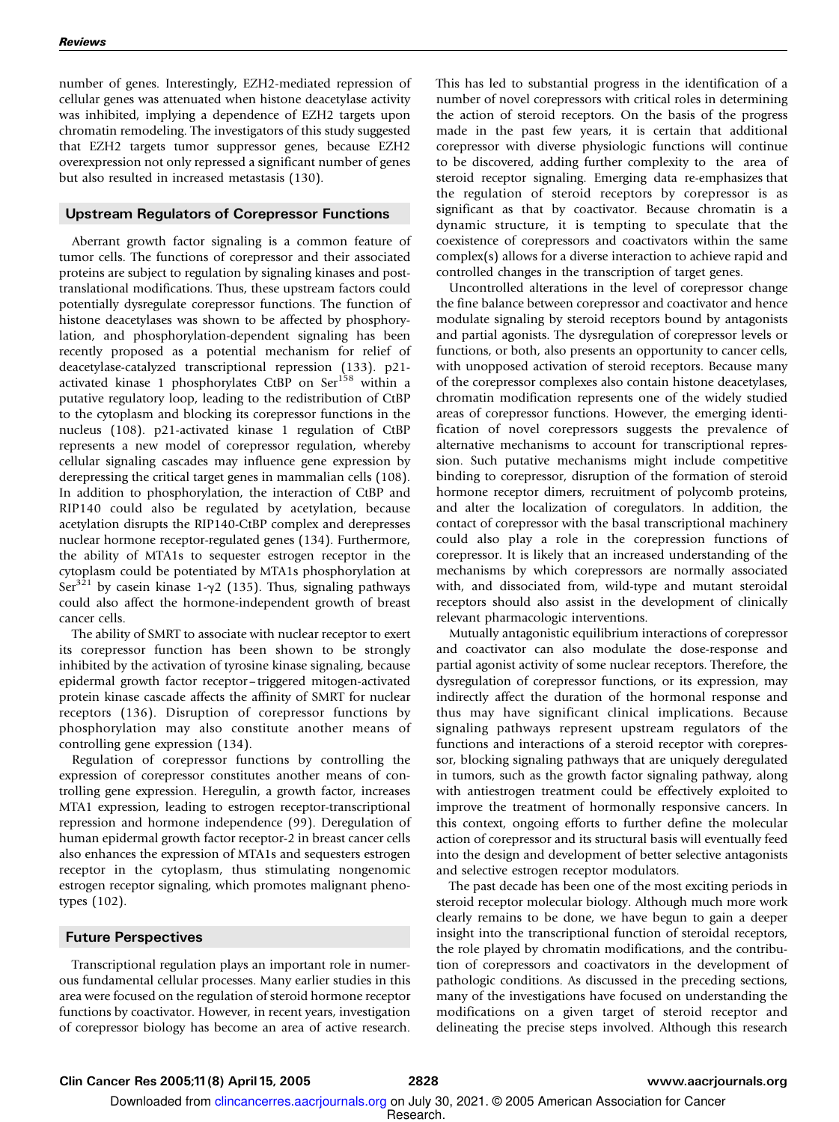number of genes. Interestingly, EZH2-mediated repression of cellular genes was attenuated when histone deacetylase activity was inhibited, implying a dependence of EZH2 targets upon chromatin remodeling. The investigators of this study suggested that EZH2 targets tumor suppressor genes, because EZH2 overexpression not only repressed a significant number of genes but also resulted in increased metastasis (130).

#### Upstream Regulators of Corepressor Functions

Aberrant growth factor signaling is a common feature of tumor cells. The functions of corepressor and their associated proteins are subject to regulation by signaling kinases and posttranslational modifications. Thus, these upstream factors could potentially dysregulate corepressor functions. The function of histone deacetylases was shown to be affected by phosphorylation, and phosphorylation-dependent signaling has been recently proposed as a potential mechanism for relief of deacetylase-catalyzed transcriptional repression (133). p21 activated kinase 1 phosphorylates CtBP on Ser<sup>158</sup> within a putative regulatory loop, leading to the redistribution of CtBP to the cytoplasm and blocking its corepressor functions in the nucleus (108). p21-activated kinase 1 regulation of CtBP represents a new model of corepressor regulation, whereby cellular signaling cascades may influence gene expression by derepressing the critical target genes in mammalian cells (108). In addition to phosphorylation, the interaction of CtBP and RIP140 could also be regulated by acetylation, because acetylation disrupts the RIP140-CtBP complex and derepresses nuclear hormone receptor-regulated genes (134). Furthermore, the ability of MTA1s to sequester estrogen receptor in the cytoplasm could be potentiated by MTA1s phosphorylation at Ser<sup>321</sup> by casein kinase 1- $\gamma$ 2 (135). Thus, signaling pathways could also affect the hormone-independent growth of breast cancer cells.

The ability of SMRT to associate with nuclear receptor to exert its corepressor function has been shown to be strongly inhibited by the activation of tyrosine kinase signaling, because epidermal growth factor receptor– triggered mitogen-activated protein kinase cascade affects the affinity of SMRT for nuclear receptors (136). Disruption of corepressor functions by phosphorylation may also constitute another means of controlling gene expression (134).

Regulation of corepressor functions by controlling the expression of corepressor constitutes another means of controlling gene expression. Heregulin, a growth factor, increases MTA1 expression, leading to estrogen receptor-transcriptional repression and hormone independence (99). Deregulation of human epidermal growth factor receptor-2 in breast cancer cells also enhances the expression of MTA1s and sequesters estrogen receptor in the cytoplasm, thus stimulating nongenomic estrogen receptor signaling, which promotes malignant phenotypes (102).

#### Future Perspectives

Transcriptional regulation plays an important role in numerous fundamental cellular processes. Many earlier studies in this area were focused on the regulation of steroid hormone receptor functions by coactivator. However, in recent years, investigation of corepressor biology has become an area of active research. This has led to substantial progress in the identification of a number of novel corepressors with critical roles in determining the action of steroid receptors. On the basis of the progress made in the past few years, it is certain that additional corepressor with diverse physiologic functions will continue to be discovered, adding further complexity to the area of steroid receptor signaling. Emerging data re-emphasizes that the regulation of steroid receptors by corepressor is as significant as that by coactivator. Because chromatin is a dynamic structure, it is tempting to speculate that the coexistence of corepressors and coactivators within the same complex(s) allows for a diverse interaction to achieve rapid and controlled changes in the transcription of target genes.

Uncontrolled alterations in the level of corepressor change the fine balance between corepressor and coactivator and hence modulate signaling by steroid receptors bound by antagonists and partial agonists. The dysregulation of corepressor levels or functions, or both, also presents an opportunity to cancer cells, with unopposed activation of steroid receptors. Because many of the corepressor complexes also contain histone deacetylases, chromatin modification represents one of the widely studied areas of corepressor functions. However, the emerging identification of novel corepressors suggests the prevalence of alternative mechanisms to account for transcriptional repression. Such putative mechanisms might include competitive binding to corepressor, disruption of the formation of steroid hormone receptor dimers, recruitment of polycomb proteins, and alter the localization of coregulators. In addition, the contact of corepressor with the basal transcriptional machinery could also play a role in the corepression functions of corepressor. It is likely that an increased understanding of the mechanisms by which corepressors are normally associated with, and dissociated from, wild-type and mutant steroidal receptors should also assist in the development of clinically relevant pharmacologic interventions.

Mutually antagonistic equilibrium interactions of corepressor and coactivator can also modulate the dose-response and partial agonist activity of some nuclear receptors. Therefore, the dysregulation of corepressor functions, or its expression, may indirectly affect the duration of the hormonal response and thus may have significant clinical implications. Because signaling pathways represent upstream regulators of the functions and interactions of a steroid receptor with corepressor, blocking signaling pathways that are uniquely deregulated in tumors, such as the growth factor signaling pathway, along with antiestrogen treatment could be effectively exploited to improve the treatment of hormonally responsive cancers. In this context, ongoing efforts to further define the molecular action of corepressor and its structural basis will eventually feed into the design and development of better selective antagonists and selective estrogen receptor modulators.

The past decade has been one of the most exciting periods in steroid receptor molecular biology. Although much more work clearly remains to be done, we have begun to gain a deeper insight into the transcriptional function of steroidal receptors, the role played by chromatin modifications, and the contribution of corepressors and coactivators in the development of pathologic conditions. As discussed in the preceding sections, many of the investigations have focused on understanding the modifications on a given target of steroid receptor and delineating the precise steps involved. Although this research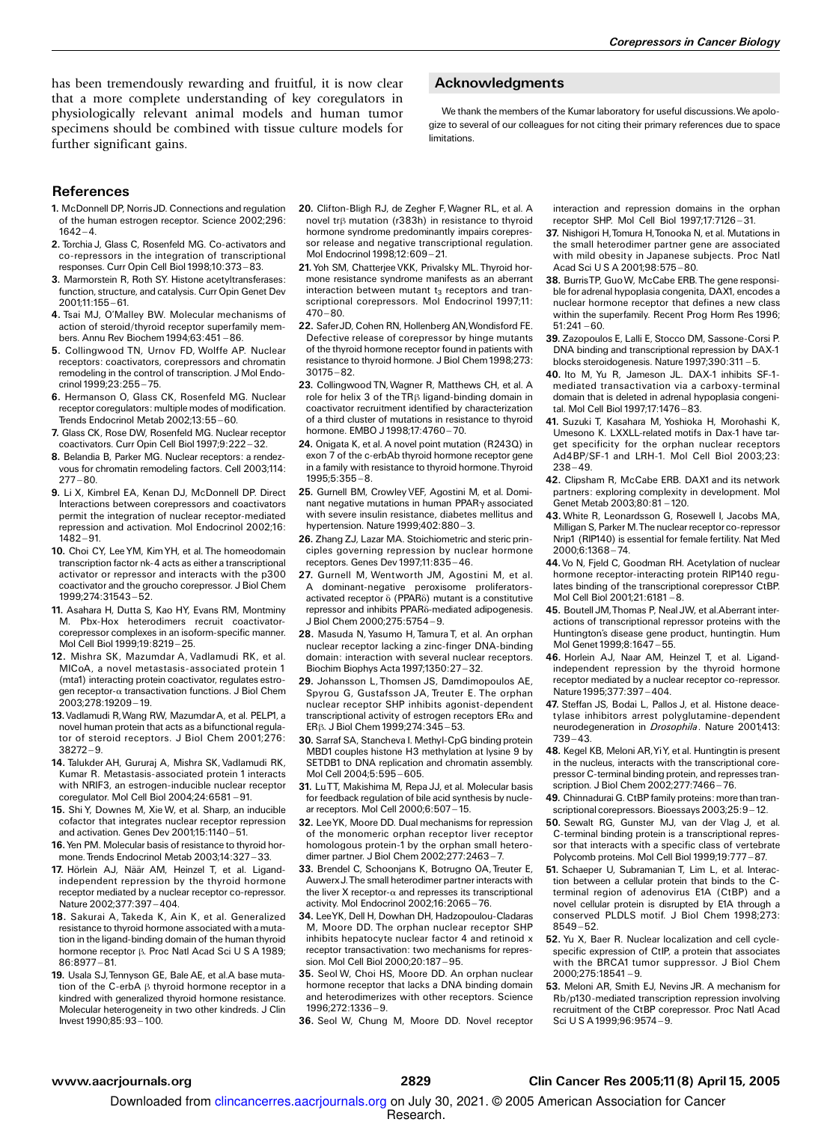has been tremendously rewarding and fruitful, it is now clear that a more complete understanding of key coregulators in physiologically relevant animal models and human tumor specimens should be combined with tissue culture models for further significant gains.

#### References

- 1. McDonnell DP, NorrisJD. Connections and regulation of the human estrogen receptor. Science 2002;296:  $1642 - 4.$
- 2. Torchia J, Glass C, Rosenfeld MG. Co-activators and co-repressors in the integration of transcriptional responses. Curr Opin Cell Biol 1998;10:373 ^ 83.
- 3. Marmorstein R, Roth SY. Histone acetyltransferases: function, structure, and catalysis. Curr Opin Genet Dev 2001;11:155 ^ 61.
- 4. Tsai MJ, O'Malley BW. Molecular mechanisms of action of steroid/thyroid receptor superfamily members. Annu Rev Biochem 1994;63:451 ^ 86.
- 5. Collingwood TN, Urnov FD, Wolffe AP. Nuclear receptors: coactivators, corepressors and chromatin remodeling in the control of transcription. J Mol Endocrinol 1999;23:255 - 75.
- 6. Hermanson O, Glass CK, Rosenfeld MG. Nuclear receptor coregulators: multiple modes of modification. Trends Endocrinol Metab 2002:13:55-60.
- 7. Glass CK, Rose DW, Rosenfeld MG. Nuclear receptor coactivators. Curr Opin Cell Biol 1997;9:222-32.
- 8. Belandia B, Parker MG. Nuclear receptors: a rendezvous for chromatin remodeling factors. Cell 2003;114:  $277 - 80.$
- 9. Li X, Kimbrel EA, Kenan DJ, McDonnell DP. Direct Interactions between corepressors and coactivators permit the integration of nuclear receptor-mediated repression and activation. Mol Endocrinol 2002;16:  $1482 - 91.$
- 10. Choi CY, Lee YM, Kim YH, et al. The homeodomain transcription factor nk-4 acts as either a transcriptional activator or repressor and interacts with the p300 coactivator and the groucho corepressor. J Biol Chem 1999;274:31543-52.
- 11. Asahara H, Dutta S, Kao HY, Evans RM, Montminy M. Pbx-Hox heterodimers recruit coactivatorcorepressor complexes in an isoform-specific manner. Mol Cell Biol 1999:19:8219-25.
- 12. Mishra SK, Mazumdar A, Vadlamudi RK, et al. MICoA, a novel metastasis-associated protein 1 (mta1) interacting protein coactivator, regulates estrogen receptor-a transactivation functions. J Biol Chem 2003;278:19209 ^ 19.
- 13.Vadlamudi R,Wang RW, MazumdarA, et al. PELP1, a novel human protein that acts as a bifunctional regulator of steroid receptors. J Biol Chem 2001;276:  $38272 - 9.$
- 14. Talukder AH, Gururaj A, Mishra SK, Vadlamudi RK, Kumar R. Metastasis-associated protein 1 interacts with NRIF3, an estrogen-inducible nuclear receptor coregulator. Mol Cell Biol 2004;24:6581 ^ 91.
- 15. Shi Y, Downes M, Xie W, et al. Sharp, an inducible cofactor that integrates nuclear receptor repression and activation. Genes Dev 2001;15:1140 ^ 51.
- 16. Yen PM. Molecular basis of resistance to thyroid hormone. Trends Endocrinol Metab 2003;14:327-33.
- 17. Hörlein AJ, Näär AM, Heinzel T, et al. Ligandindependent repression by the thyroid hormone receptor mediated by a nuclear receptor co-repressor. Nature 2002;377:397-404.
- 18. Sakurai A, Takeda K, Ain K, et al. Generalized resistance to thyroid hormone associated with a mutation in the ligand-binding domain of the human thyroid hormone receptor β. Proc Natl Acad Sci U S A 1989; 86:8977-81
- 19. Usala SJ,Tennyson GE, Bale AE, et al.A base mutation of the C-erbA  $\beta$  thyroid hormone receptor in a kindred with generalized thyroid hormone resistance. Molecular heterogeneity in two other kindreds. J Clin Invest 1990;85:93 ^ 100.

20. Clifton-Bligh RJ, de Zegher F,Wagner RL, et al. A novel tr $\beta$  mutation (r383h) in resistance to thyroid hormone syndrome predominantly impairs corepressor release and negative transcriptional regulation. Mol Endocrinol 1998;12:609-21.

limitations.

Acknowledgments

- 21.Yoh SM, Chatterjee VKK, Privalsky ML. Thyroid hormone resistance syndrome manifests as an aberrant interaction between mutant  $t_3$  receptors and transcriptional corepressors. Mol Endocrinol 1997;11:  $470 - 80.$
- 22. SaferJD, Cohen RN, Hollenberg AN,Wondisford FE. Defective release of corepressor by hinge mutants of the thyroid hormone receptor found in patients with resistance to thyroid hormone. J Biol Chem1998;273:  $30175 - 82$
- 23. Collingwood TN, Wagner R, Matthews CH, et al. A role for helix 3 of the  $TR\beta$  ligand-binding domain in coactivator recruitment identified by characterization of a third cluster of mutations in resistance to thyroid hormone. EMBO J 1998:17:4760-70.
- 24. Onigata K, et al. A novel point mutation (R243Q) in exon 7 of the c-erbAb thyroid hormone receptor gene in a family with resistance to thyroid hormone.Thyroid  $1995:5:355 - 8.$
- 25. Gurnell BM, Crowley VEF, Agostini M, et al. Dominant negative mutations in human  $PPAR<sub>Y</sub>$  associated with severe insulin resistance, diabetes mellitus and hypertension. Nature 1999;402:880-3.
- 26. Zhang ZJ, Lazar MA. Stoichiometric and steric principles governing repression by nuclear hormone receptors. Genes Dev 1997;11:835 ^ 46.
- 27. Gurnell M, Wentworth JM, Agostini M, et al. A dominant-negative peroxisome proliferatorsactivated receptor  $\delta$  (PPAR $\delta$ ) mutant is a constitutive repressor and inhibits PPAR<sub>0</sub>-mediated adipogenesis. J Biol Chem 2000;275:5754-9.
- 28. Masuda N, Yasumo H, Tamura T, et al. An orphan nuclear receptor lacking a zinc-finger DNA-binding domain: interaction with several nuclear receptors. Biochim Biophys Acta 1997;1350:27 ^ 32.
- 29. Johansson L, Thomsen JS, Damdimopoulos AE, Spyrou G, Gustafsson JA, Treuter E. The orphan nuclear receptor SHP inhibits agonist-dependent transcriptional activity of estrogen receptors  $ER\alpha$  and  $ER\beta$ . J Biol Chem 1999;274:345 - 53.
- 30. Sarraf SA, Stancheva I. Methyl-CpG binding protein MBD1 couples histone H3 methylation at lysine 9 by SETDB1 to DNA replication and chromatin assembly. Mol Cell 2004;5:595-605.
- 31. LuTT, Makishima M, Repa JJ, et al. Molecular basis for feedback regulation of bile acid synthesis by nuclear receptors. Mol Cell 2000;6:507 ^ 15.
- 32. LeeYK, Moore DD. Dual mechanisms for repression of the monomeric orphan receptor liver receptor homologous protein-1 by the orphan small heterodimer partner. J Biol Chem 2002;277:2463-7.
- 33. Brendel C, Schoonjans K, Botrugno OA, Treuter E, AuwerxJ.The small heterodimer partner interacts with the liver X receptor- $\alpha$  and represses its transcriptional activity. Mol Endocrinol 2002;16:2065-76.
- 34. LeeYK, Dell H, Dowhan DH, Hadzopoulou-Cladaras M, Moore DD. The orphan nuclear receptor SHP inhibits hepatocyte nuclear factor 4 and retinoid x receptor transactivation: two mechanisms for repression. Mol Cell Biol 2000;20:187-95.
- 35. Seol W, Choi HS, Moore DD. An orphan nuclear hormone receptor that lacks a DNA binding domain and heterodimerizes with other receptors. Science 1996:272:1336-9.
- 36. Seol W, Chung M, Moore DD. Novel receptor

interaction and repression domains in the orphan receptor SHP. Mol Cell Biol 1997;17:7126 ^ 31.

We thank the members of the Kumar laboratory for useful discussions.We apologize to several of our colleagues for not citing their primary references due to space

- 37. Nishigori H, Tomura H, Tonooka N, et al. Mutations in the small heterodimer partner gene are associated with mild obesity in Japanese subjects. Proc Natl Acad Sci U S A 2001:98:575-80.
- 38. BurrisTP, GuoW, McCabe ERB. The gene responsible for adrenal hypoplasia congenita, DAX1, encodes a nuclear hormone receptor that defines a new class within the superfamily. Recent Prog Horm Res 1996;  $51:241 - 60.$
- 39. Zazopoulos E, Lalli E, Stocco DM, Sassone-Corsi P. DNA binding and transcriptional repression by DAX-1 blocks steroidogenesis. Nature 1997;390:311-5.
- 40. Ito M, Yu R, Jameson JL. DAX-1 inhibits SF-1 mediated transactivation via a carboxy-terminal domain that is deleted in adrenal hypoplasia congenital. Mol Cell Biol 1997;17:1476 ^ 83.
- 41. Suzuki T, Kasahara M, Yoshioka H, Morohashi K, Umesono K. LXXLL-related motifs in Dax-1 have target specificity for the orphan nuclear receptors Ad4BP/SF-1 and LRH-1. Mol Cell Biol 2003;23:  $238 - 49.$
- 42. Clipsham R, McCabe ERB. DAX1 and its network partners: exploring complexity in development. Mol Genet Metab 2003:80:81-120.
- 43. White R, Leonardsson G, Rosewell I, Jacobs MA, Milligan S, Parker M. The nuclear receptor co-repressor Nrip1 (RIP140) is essential for female fertility. Nat Med 2000;6:1368 ^ 74.
- 44.Vo N, Fjeld C, Goodman RH. Acetylation of nuclear hormone receptor-interacting protein RIP140 regulates binding of the transcriptional corepressor CtBP. Mol Cell Biol 2001;21:6181-8.
- 45. Boutell JM,Thomas P, Neal JW, et al.Aberrant interactions of transcriptional repressor proteins with the Huntington's disease gene product, huntingtin. Hum Mol Genet 1999;8:1647-55.
- 46. Horlein AJ, Naar AM, Heinzel T, et al. Ligandindependent repression by the thyroid hormone receptor mediated by a nuclear receptor co-repressor. Nature 1995;377:397-404.
- 47. Steffan JS, Bodai L, Pallos J, et al. Histone deacetylase inhibitors arrest polyglutamine-dependent neurodegeneration in Drosophila. Nature 2001;413:  $739 - 43.$
- 48. Kegel KB, Meloni AR,YiY, et al. Huntingtin is present in the nucleus, interacts with the transcriptional corepressor C-terminal binding protein, and represses transcription. J Biol Chem 2002;277:7466-76.
- 49. Chinnadurai G. CtBP family proteins: more than transcriptional corepressors. Bioessays 2003;25:9-12.
- 50. Sewalt RG, Gunster MJ, van der Vlag J, et al. C-terminal binding protein is a transcriptional repressor that interacts with a specific class of vertebrate Polycomb proteins. Mol Cell Biol 1999;19:777-87.
- 51. Schaeper U, Subramanian T, Lim L, et al. Interaction between a cellular protein that binds to the Cterminal region of adenovirus E1A (CtBP) and a novel cellular protein is disrupted by E1A through a conserved PLDLS motif. J Biol Chem 1998;273:  $8549 - 52.$
- 52. Yu X, Baer R. Nuclear localization and cell cyclespecific expression of CtIP, a protein that associates with the BRCA1 tumor suppressor. J Biol Chem  $2000:275:18541 - 9.$
- 53. Meloni AR, Smith EJ, Nevins JR. A mechanism for Rb/p130-mediated transcription repression involving recruitment of the CtBP corepressor. Proc Natl Acad Sci U S A 1999:96:9574-9.

#### www.aacrjournals.org 2829 Clin Cancer Res 2005;11(8) April 15, 2005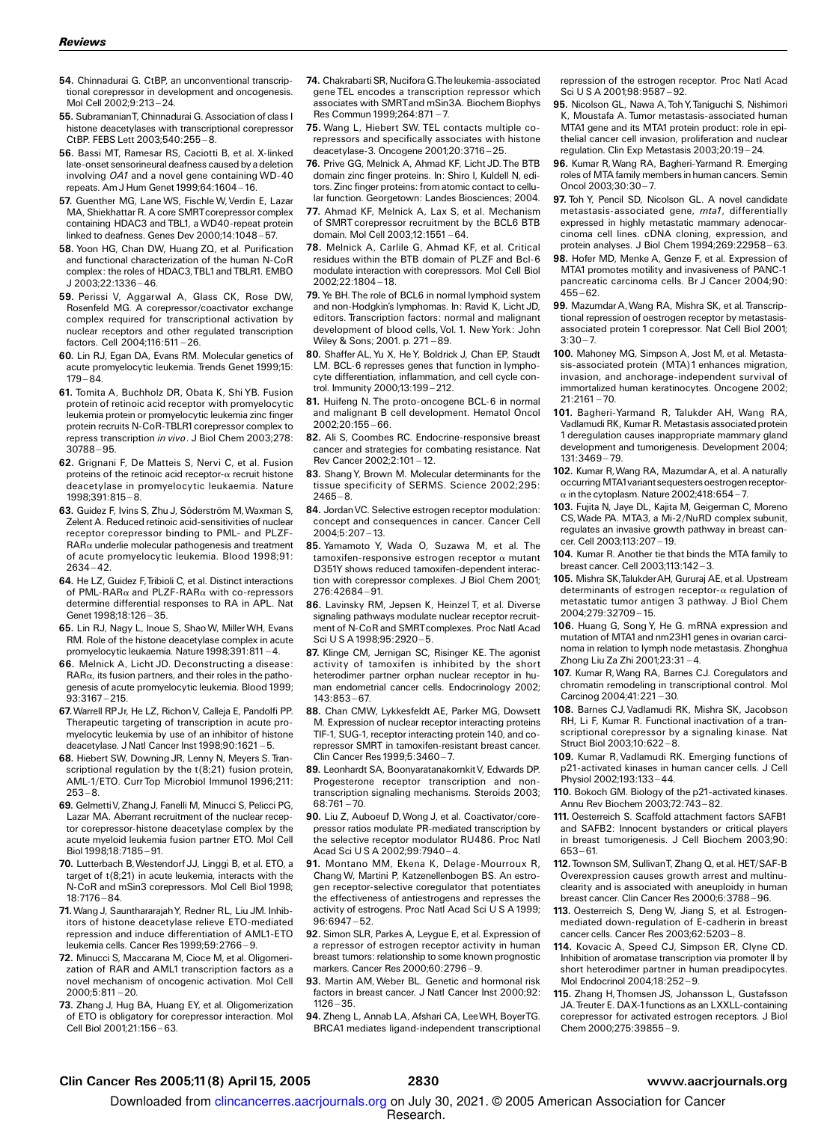- 54. Chinnadurai G. CtBP, an unconventional transcriptional corepressor in development and oncogenesis. Mol Cell 2002:9:213-24.
- 55. SubramanianT, Chinnadurai G. Association of class I histone deacetylases with transcriptional corepressor CtBP. FEBS Lett 2003:540:255-8.
- 56. Bassi MT, Ramesar RS, Caciotti B, et al. X-linked late-onset sensorineural deafness caused by a deletion involving OA1 and a novel gene containing WD-40 repeats. Am J Hum Genet 1999;64:1604-16.
- 57. Guenther MG, Lane WS, Fischle W, Verdin E, Lazar MA, Shiekhattar R. A core SMRTcorepressor complex containing HDAC3 and TBL1, a WD40-repeat protein linked to deafness. Genes Dev 2000;14:1048-57.
- 58. Yoon HG, Chan DW, Huang ZQ, et al. Purification and functional characterization of the human N-CoR complex: the roles of HDAC3,TBL1and TBLR1. EMBO J 2003;22:1336 ^ 46.
- 59. Perissi V, Aggarwal A, Glass CK, Rose DW, Rosenfeld MG. A corepressor/coactivator exchange complex required for transcriptional activation by nuclear receptors and other regulated transcription factors. Cell 2004;116:511 ^ 26.
- 60. Lin RJ, Egan DA, Evans RM. Molecular genetics of acute promyelocytic leukemia. Trends Genet 1999;15:  $179 - 84.$
- 61. Tomita A, Buchholz DR, Obata K, Shi YB. Fusion protein of retinoic acid receptor with promyelocytic leukemia protein or promyelocytic leukemia zinc finger protein recruits N-CoR-TBLR1 corepressor complex to repress transcription in vivo. J Biol Chem 2003;278: 30788-95.
- 62. Grignani F, De Matteis S, Nervi C, et al. Fusion proteins of the retinoic acid receptor- $\alpha$  recruit histone deacetylase in promyelocytic leukaemia. Nature 1998:391:815 - 8.
- 63. Guidez F, Ivins S, Zhu J, Söderström M, Waxman S, Zelent A. Reduced retinoic acid-sensitivities of nuclear receptor corepressor binding to PML- and PLZF-RARa underlie molecular pathogenesis and treatment of acute promyelocytic leukemia. Blood 1998;91:  $2634 - 42.$
- 64. He LZ, Guidez F,Tribioli C, et al. Distinct interactions of PML-RAR $\alpha$  and PLZF-RAR $\alpha$  with co-repressors determine differential responses to RA in APL. Nat Genet 1998;18:126-35.
- 65. Lin RJ, Nagy L, Inoue S, ShaoW, MillerWH, Evans RM. Role of the histone deacetylase complex in acute promyelocytic leukaemia. Nature 1998;391:811-4.
- 66. Melnick A, Licht JD. Deconstructing a disease:  $\mathsf{P} \mathsf{A} \mathsf{R} \alpha$ , its fusion partners, and their roles in the pathogenesis of acute promyelocytic leukemia. Blood 1999;  $93:3167 - 215.$
- 67.Warrell RPJr, He LZ, RichonV, Calleja E, Pandolfi PP. Therapeutic targeting of transcription in acute promyelocytic leukemia by use of an inhibitor of histone deacetylase. J Natl Cancer Inst 1998:90:1621-5.
- 68. Hiebert SW, Downing JR, Lenny N, Meyers S. Transcriptional regulation by the t(8;21) fusion protein, AML-1/ETO. Curr Top Microbiol Immunol 1996;211:  $253 - 8.$
- 69. GelmettiV, ZhangJ, Fanelli M, Minucci S, Pelicci PG, Lazar MA. Aberrant recruitment of the nuclear receptor corepressor-histone deacetylase complex by the acute myeloid leukemia fusion partner ETO. Mol Cell Biol 1998;18:7185-91.
- 70. Lutterbach B,Westendorf JJ, Linggi B, et al. ETO, a target of t(8;21) in acute leukemia, interacts with the N-CoR and mSin3 corepressors. Mol Cell Biol 1998; 18:7176 - 84.
- 71.Wang J, SaunthararajahY, Redner RL, Liu JM. Inhibitors of histone deacetylase relieve ETO-mediated repression and induce differentiation of AML1-ETO leukemia cells. Cancer Res 1999;59:2766-9.
- 72. Minucci S, Maccarana M, Cioce M, et al. Oligomerization of RAR and AML1 transcription factors as a novel mechanism of oncogenic activation. Mol Cell  $2000:5:811 - 20.$
- 73. Zhang J, Hug BA, Huang EY, et al. Oligomerization of ETO is obligatory for corepressor interaction. Mol Cell Biol 2001;21:156-63.
- 74. Chakrabarti SR, Nucifora G. The leukemia-associated gene TEL encodes a transcription repressor which associates with SMRTand mSin3A. Biochem Biophys Res Commun 1999;264:871-7.
- 75. Wang L, Hiebert SW. TEL contacts multiple corepressors and specifically associates with histone deacetylase-3. Oncogene 2001;20:3716 ^ 25.
- 76. Prive GG, Melnick A, Ahmad KF, Licht JD. The BTB domain zinc finger proteins. In: Shiro I, Kuldell N, editors. Zinc finger proteins: from atomic contact to cellular function. Georgetown: Landes Biosciences; 2004.
- 77. Ahmad KF, Melnick A, Lax S, et al. Mechanism of SMRT corepressor recruitment by the BCL6 BTB domain. Mol Cell 2003;12:1551 ^ 64.
- 78. Melnick A, Carlile G, Ahmad KF, et al. Critical residues within the BTB domain of PLZF and Bcl-6 modulate interaction with corepressors. Mol Cell Biol  $2002:22:1804 - 18.$
- 79. Ye BH. The role of BCL6 in normal lymphoid system and non-Hodgkin's lymphomas. In: Ravid K, Licht JD, editors. Transcription factors: normal and malignant development of blood cells, Vol. 1. New York: John Wiley & Sons; 2001. p. 271-89.
- 80. Shaffer AL,Yu X, He Y, Boldrick J, Chan EP, Staudt LM. BCL-6 represses genes that function in lymphocyte differentiation, inflammation, and cell cycle control. Immunity 2000;13:199 ^ 212.
- 81. Huifeng N. The proto-oncogene BCL-6 in normal and malignant B cell development. Hematol Oncol  $2002:20:155 - 66.$
- 82. Ali S, Coombes RC. Endocrine-responsive breast cancer and strategies for combating resistance. Nat Rev Cancer 2002:2:101-12.
- 83. Shang Y, Brown M. Molecular determinants for the tissue specificity of SERMS. Science 2002;295:  $2465 - 8$
- 84. Jordan VC. Selective estrogen receptor modulation: concept and consequences in cancer. Cancer Cell 2004;5:207 ^ 13.
- 85. Yamamoto Y, Wada O, Suzawa M, et al. The tamoxifen-responsive estrogen receptor  $\alpha$  mutant D351Y shows reduced tamoxifen-dependent interaction with corepressor complexes. J Biol Chem 2001; 276:42684 ^ 91.
- 86. Lavinsky RM, Jepsen K, Heinzel T, et al. Diverse signaling pathways modulate nuclear receptor recruitment of N-CoR and SMRTcomplexes. Proc Natl Acad Sci U S A 1998:95:2920-5.
- 87. Klinge CM, Jernigan SC, Risinger KE. The agonist activity of tamoxifen is inhibited by the short heterodimer partner orphan nuclear receptor in human endometrial cancer cells. Endocrinology 2002;  $143:853 - 67.$
- 88. Chan CMW, Lykkesfeldt AE, Parker MG, Dowsett M. Expression of nuclear receptor interacting proteins TIF-1, SUG-1, receptor interacting protein 140, and corepressor SMRTin tamoxifen-resistant breast cancer. Clin Cancer Res 1999;5:3460-7.
- 89. Leonhardt SA, BoonyaratanakornkitV, Edwards DP. Progesterone receptor transcription and nontranscription signaling mechanisms. Steroids 2003;  $68:761 - 70.$
- 90. Liu Z. Auboeuf D, Wong J, et al. Coactivator/corepressor ratios modulate PR-mediated transcription by the selective receptor modulator RU486. Proc Natl Acad Sci U S A 2002;99:7940-4.
- 91. Montano MM, Ekena K, Delage-Mourroux R, Chang W, Martini P, Katzenellenbogen BS. An estrogen receptor-selective coregulator that potentiates the effectiveness of antiestrogens and represses the activity of estrogens. Proc Natl Acad Sci U S A 1999;  $96:6947 - 52.$
- 92. Simon SLR, Parkes A, Leygue E, et al. Expression of a repressor of estrogen receptor activity in human breast tumors: relationship to some known prognostic markers. Cancer Res 2000:60:2796-9.
- 93. Martin AM, Weber BL. Genetic and hormonal risk factors in breast cancer. J Natl Cancer Inst 2000;92:  $1126 - 35$
- 94. Zheng L, Annab LA, Afshari CA, LeeWH, BoyerTG. BRCA1 mediates ligand-independent transcriptional

repression of the estrogen receptor. Proc Natl Acad Sci U S A 2001;98:9587-92.

- 95. Nicolson GL, Nawa A, Toh Y, Taniguchi S, Nishimori K, Moustafa A. Tumor metastasis-associated human MTA1 gene and its MTA1 protein product: role in epithelial cancer cell invasion, proliferation and nuclear regulation. Clin Exp Metastasis 2003:20:19-24.
- 96. Kumar R,Wang RA, Bagheri-Yarmand R. Emerging roles of MTA family members in human cancers. Semin Oncol 2003;30:30-7.
- 97. Toh Y, Pencil SD, Nicolson GL. A novel candidate metastasis-associated gene, mta1, differentially expressed in highly metastatic mammary adenocarcinoma cell lines. cDNA cloning, expression, and protein analyses. J Biol Chem 1994;269:22958-63.
- 98. Hofer MD, Menke A, Genze F, et al. Expression of MTA1 promotes motility and invasiveness of PANC-1 pancreatic carcinoma cells. Br J Cancer 2004;90:  $455 - 62$
- 99. Mazumdar A, Wang RA, Mishra SK, et al. Transcriptional repression of oestrogen receptor by metastasisassociated protein 1 corepressor. Nat Cell Biol 2001;  $3:30 - 7.$
- 100. Mahoney MG, Simpson A, Jost M, et al. Metastasis-associated protein (MTA)1 enhances migration, invasion, and anchorage-independent survival of immortalized human keratinocytes. Oncogene 2002;  $21:2161 - 70.$
- 101. Bagheri-Yarmand R, Talukder AH, Wang RA, Vadlamudi RK, Kumar R. Metastasis associated protein 1deregulation causes inappropriate mammary gland development and tumorigenesis. Development 2004; 131:3469-79.
- 102. Kumar R, Wang RA, Mazumdar A, et al. A naturally occurringMTA1variant sequestersoestrogen receptor- $\alpha$  in the cytoplasm. Nature 2002;418:654 - 7.
- 103. Fujita N, Jaye DL, Kajita M, Geigerman C, Moreno CS,Wade PA. MTA3, a Mi-2/NuRD complex subunit, regulates an invasive growth pathway in breast cancer. Cell 2003;113:207 ^ 19.
- 104. Kumar R. Another tie that binds the MTA family to breast cancer. Cell 2003;113:142-3.
- 105. Mishra SK,TalukderAH, Gururaj AE, et al. Upstream determinants of estrogen receptor-a regulation of metastatic tumor antigen 3 pathway. J Biol Chem 2004;279:32709 ^ 15.
- 106. Huang G, Song Y, He G. mRNA expression and mutation of MTA1and nm23H1genes in ovarian carcinoma in relation to lymph node metastasis. Zhonghua Zhong Liu Za Zhi 2001;23:31-4.
- 107. Kumar R, Wang RA, Barnes CJ. Coregulators and chromatin remodeling in transcriptional control. Mol Carcinog  $2004;41:221 - 30$ .
- 108. Barnes CJ, Vadlamudi RK, Mishra SK, Jacobson RH, Li F, Kumar R. Functional inactivation of a transcriptional corepressor by a signaling kinase. Nat Struct Biol 2003;10:622-8.
- 109. Kumar R, Vadlamudi RK. Emerging functions of p21-activated kinases in human cancer cells. J Cell Physiol 2002;193:133-44.
- 110. Bokoch GM. Biology of the p21-activated kinases. Annu Rev Biochem 2003;72:743-82.
- 111. Oesterreich S. Scaffold attachment factors SAFB1 and SAFB2: Innocent bystanders or critical players in breast tumorigenesis. J Cell Biochem 2003;90:  $653 - 61.$
- 112. Townson SM, Sullivan T, Zhang Q, et al. HET/SAF-B Overexpression causes growth arrest and multinuclearity and is associated with aneuploidy in human breast cancer. Clin Cancer Res 2000;6:3788-96.
- 113. Oesterreich S, Deng W, Jiang S, et al. Estrogenmediated down-regulation of E-cadherin in breast cancer cells. Cancer Res 2003;62:5203-8.
- 114. Kovacic A, Speed CJ, Simpson ER, Clyne CD. Inhibition of aromatase transcription via promoter II by short heterodimer partner in human preadipocytes. Mol Endocrinol 2004:18:252-9.
- 115. Zhang H, Thomsen JS, Johansson L, Gustafsson JA.Treuter E. DAX-1functions as an LXXLL-containing corepressor for activated estrogen receptors. J Biol Chem 2000:275:39855-9.

#### Clin Cancer Res 2005;11(8) April 15, 2005 2830 www.aacrjournals.org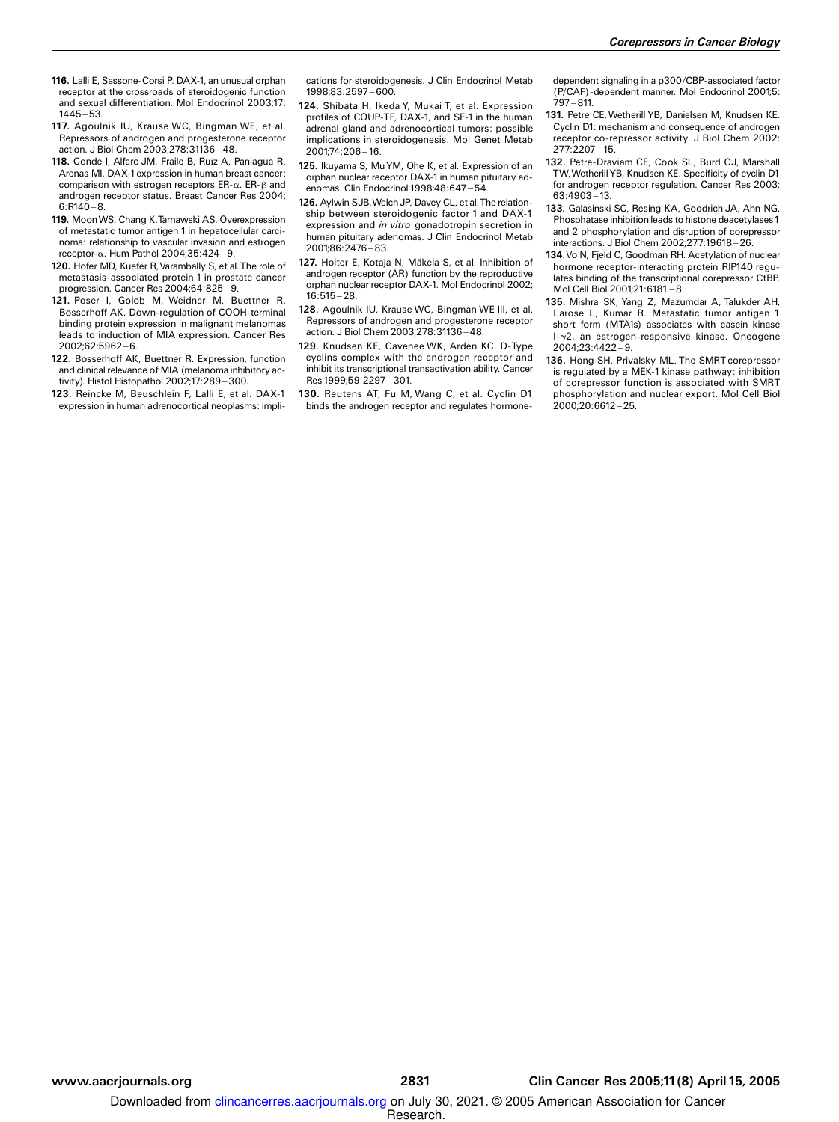- 116. Lalli E, Sassone-Corsi P. DAX-1, an unusual orphan receptor at the crossroads of steroidogenic function and sexual differentiation. Mol Endocrinol 2003;17:  $1445 - 53$
- 117. Agoulnik IU, Krause WC, Bingman WE, et al. Repressors of androgen and progesterone receptor action. J Biol Chem 2003;278:31136 ^ 48.
- 118. Conde I, Alfaro JM, Fraile B, Ruíz A, Paniagua R, Arenas MI. DAX-1expression in human breast cancer: comparison with estrogen receptors  $ER-\alpha$ ,  $ER-\beta$  and androgen receptor status. Breast Cancer Res 2004;  $6 \cdot R140 - 8$
- 119. MoonWS, Chang K,Tarnawski AS. Overexpression of metastatic tumor antigen 1 in hepatocellular carcinoma: relationship to vascular invasion and estrogen receptor- $\alpha$ . Hum Pathol 2004;35:424-9.
- 120. Hofer MD, Kuefer R, Varambally S, et al. The role of metastasis-associated protein 1 in prostate cancer progression. Cancer Res 2004:64:825-9.
- 121. Poser I, Golob M, Weidner M, Buettner R, Bosserhoff AK. Down-regulation of COOH-terminal binding protein expression in malignant melanomas leads to induction of MIA expression. Cancer Res  $2002;62:5962 - 6.$
- 122. Bosserhoff AK, Buettner R. Expression, function and clinical relevance of MIA (melanoma inhibitory activity). Histol Histopathol 2002;17:289-300.
- 123. Reincke M, Beuschlein F, Lalli E, et al. DAX-1 expression in human adrenocortical neoplasms: impli-

cations for steroidogenesis. J Clin Endocrinol Metab 1998;83:2597-600.

- 124. Shibata H, Ikeda Y, Mukai T, et al. Expression profiles of COUP-TF, DAX-1, and SF-1 in the human adrenal gland and adrenocortical tumors: possible implications in steroidogenesis. Mol Genet Metab 2001;74:206 ^ 16.
- 125. Ikuyama S, MuYM, Ohe K, et al. Expression of an orphan nuclear receptor DAX-1in human pituitary adenomas. Clin Endocrinol 1998;48:647 ^ 54.
- 126. Aylwin SJB, Welch JP, Davey CL, et al. The relationship between steroidogenic factor 1 and DAX-1 expression and in vitro gonadotropin secretion in human pituitary adenomas. J Clin Endocrinol Metab 2001:86:2476-83.
- 127. Holter E, Kotaja N, Mäkela S, et al. Inhibition of androgen receptor (AR) function by the reproductive orphan nuclear receptor DAX-1. Mol Endocrinol 2002;  $16:515 - 28.$
- 128. Agoulnik IU, Krause WC, Bingman WE III, et al. Repressors of androgen and progesterone receptor action. J Biol Chem 2003;278:31136 ^ 48.
- 129. Knudsen KE, Cavenee WK, Arden KC. D-Type cyclins complex with the androgen receptor and inhibit its transcriptional transactivation ability. Cancer Res 1999;59:2297-301.
- 130. Reutens AT, Fu M, Wang C, et al. Cyclin D1 binds the androgen receptor and regulates hormone-

dependent signaling in a p300/CBP-associated factor (P/CAF)-dependent manner. Mol Endocrinol 2001;5:  $797 - 811.$ 

- 131. Petre CE,Wetherill YB, Danielsen M, Knudsen KE. Cyclin D1: mechanism and consequence of androgen receptor co-repressor activity. J Biol Chem 2002;  $277:2207 - 15.$
- 132. Petre-Draviam CE, Cook SL, Burd CJ, Marshall TW,WetherillYB, Knudsen KE. Specificity of cyclin D1 for androgen receptor regulation. Cancer Res 2003; 63:4903-13.
- 133. Galasinski SC, Resing KA, Goodrich JA, Ahn NG. Phosphatase inhibition leads to histone deacetylases 1 and 2 phosphorylation and disruption of corepressor interactions. J Biol Chem 2002;277:19618 ^ 26.
- 134. Vo N, Field C, Goodman RH, Acetylation of nuclear hormone receptor-interacting protein RIP140 regulates binding of the transcriptional corepressor CtBP. Mol Cell Biol  $2001;21:6181 - 8$ .
- 135. Mishra SK, Yang Z, Mazumdar A, Talukder AH, Larose L, Kumar R. Metastatic tumor antigen 1 short form (MTA1s) associates with casein kinase I-y2, an estrogen-responsive kinase. Oncogene 2004;23:4422-9.
- 136. Hong SH, Privalsky ML. The SMRT corepressor is regulated by a MEK-1 kinase pathway: inhibition of corepressor function is associated with SMRT phosphorylation and nuclear export. Mol Cell Biol 2000;20:6612 ^ 25.